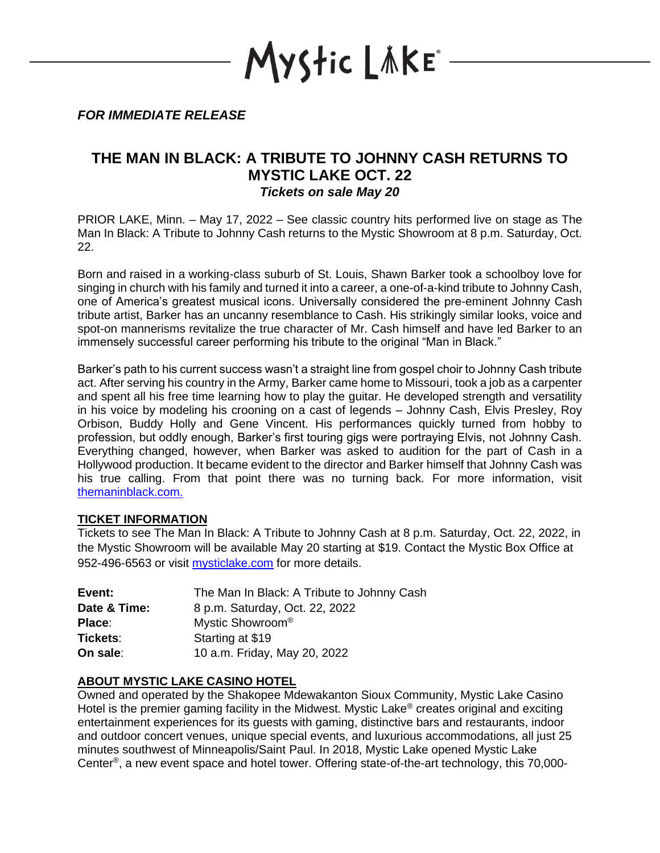YStic LÄKE\*

*FOR IMMEDIATE RELEASE*

## **THE MAN IN BLACK: A TRIBUTE TO JOHNNY CASH RETURNS TO MYSTIC LAKE OCT. 22** *Tickets on sale May 20*

PRIOR LAKE, Minn. – May 17, 2022 – See classic country hits performed live on stage as The Man In Black: A Tribute to Johnny Cash returns to the Mystic Showroom at 8 p.m. Saturday, Oct. 22.

Born and raised in a working-class suburb of St. Louis, Shawn Barker took a schoolboy love for singing in church with his family and turned it into a career, a one-of-a-kind tribute to Johnny Cash, one of America's greatest musical icons. Universally considered the pre-eminent Johnny Cash tribute artist, Barker has an uncanny resemblance to Cash. His strikingly similar looks, voice and spot-on mannerisms revitalize the true character of Mr. Cash himself and have led Barker to an immensely successful career performing his tribute to the original "Man in Black."

Barker's path to his current success wasn't a straight line from gospel choir to Johnny Cash tribute act. After serving his country in the Army, Barker came home to Missouri, took a job as a carpenter and spent all his free time learning how to play the guitar. He developed strength and versatility in his voice by modeling his crooning on a cast of legends – Johnny Cash, Elvis Presley, Roy Orbison, Buddy Holly and Gene Vincent. His performances quickly turned from hobby to profession, but oddly enough, Barker's first touring gigs were portraying Elvis, not Johnny Cash. Everything changed, however, when Barker was asked to audition for the part of Cash in a Hollywood production. It became evident to the director and Barker himself that Johnny Cash was his true calling. From that point there was no turning back. For more information, visit [themaninblack.com.](http://themaninblack.com/)

## **TICKET INFORMATION**

Tickets to see The Man In Black: A Tribute to Johnny Cash at 8 p.m. Saturday, Oct. 22, 2022, in the Mystic Showroom will be available May 20 starting at \$19. Contact the Mystic Box Office at 952-496-6563 or visit [mysticlake.com](http://www.mysticlake.com/) for more details.

| Event:       | The Man In Black: A Tribute to Johnny Cash |
|--------------|--------------------------------------------|
| Date & Time: | 8 p.m. Saturday, Oct. 22, 2022             |
| Place:       | Mystic Showroom <sup>®</sup>               |
| Tickets:     | Starting at \$19                           |
| On sale:     | 10 a.m. Friday, May 20, 2022               |

## **ABOUT MYSTIC LAKE CASINO HOTEL**

Owned and operated by the Shakopee Mdewakanton Sioux Community, Mystic Lake Casino Hotel is the premier gaming facility in the Midwest. Mystic Lake<sup>®</sup> creates original and exciting entertainment experiences for its guests with gaming, distinctive bars and restaurants, indoor and outdoor concert venues, unique special events, and luxurious accommodations, all just 25 minutes southwest of Minneapolis/Saint Paul. In 2018, Mystic Lake opened Mystic Lake Center® , a new event space and hotel tower. Offering state-of-the-art technology, this 70,000